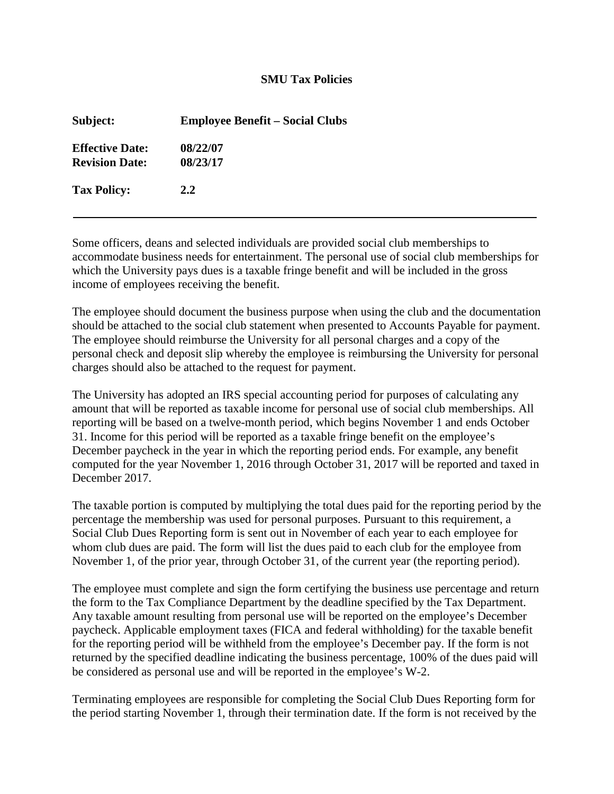## **SMU Tax Policies**

| Subject:                                        | <b>Employee Benefit – Social Clubs</b> |
|-------------------------------------------------|----------------------------------------|
| <b>Effective Date:</b><br><b>Revision Date:</b> | 08/22/07<br>08/23/17                   |
| <b>Tax Policy:</b>                              | 2.2                                    |

Some officers, deans and selected individuals are provided social club memberships to accommodate business needs for entertainment. The personal use of social club memberships for which the University pays dues is a taxable fringe benefit and will be included in the gross income of employees receiving the benefit.

The employee should document the business purpose when using the club and the documentation should be attached to the social club statement when presented to Accounts Payable for payment. The employee should reimburse the University for all personal charges and a copy of the personal check and deposit slip whereby the employee is reimbursing the University for personal charges should also be attached to the request for payment.

The University has adopted an IRS special accounting period for purposes of calculating any amount that will be reported as taxable income for personal use of social club memberships. All reporting will be based on a twelve-month period, which begins November 1 and ends October 31. Income for this period will be reported as a taxable fringe benefit on the employee's December paycheck in the year in which the reporting period ends. For example, any benefit computed for the year November 1, 2016 through October 31, 2017 will be reported and taxed in December 2017.

The taxable portion is computed by multiplying the total dues paid for the reporting period by the percentage the membership was used for personal purposes. Pursuant to this requirement, a Social Club Dues Reporting form is sent out in November of each year to each employee for whom club dues are paid. The form will list the dues paid to each club for the employee from November 1, of the prior year, through October 31, of the current year (the reporting period).

The employee must complete and sign the form certifying the business use percentage and return the form to the Tax Compliance Department by the deadline specified by the Tax Department. Any taxable amount resulting from personal use will be reported on the employee's December paycheck. Applicable employment taxes (FICA and federal withholding) for the taxable benefit for the reporting period will be withheld from the employee's December pay. If the form is not returned by the specified deadline indicating the business percentage, 100% of the dues paid will be considered as personal use and will be reported in the employee's W-2.

Terminating employees are responsible for completing the Social Club Dues Reporting form for the period starting November 1, through their termination date. If the form is not received by the